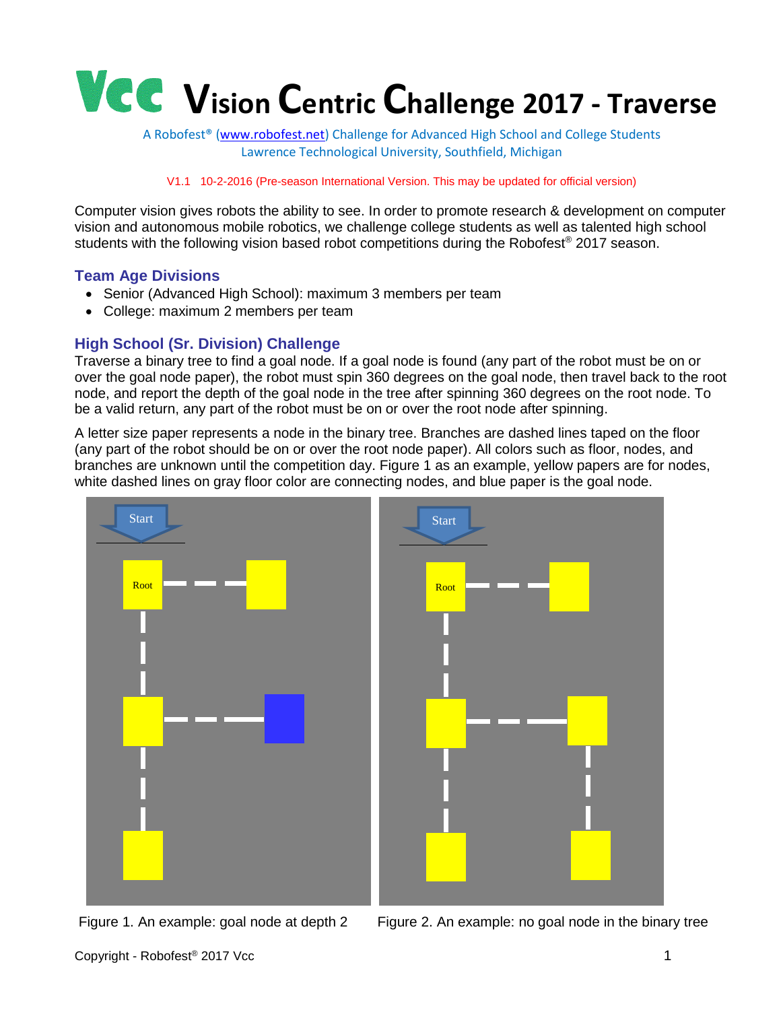

A Robofest® [\(www.robofest.net\)](http://www.robofest.net/) Challenge for Advanced High School and College Students Lawrence Technological University, Southfield, Michigan

#### V1.1 10-2-2016 (Pre-season International Version. This may be updated for official version)

Computer vision gives robots the ability to see. In order to promote research & development on computer vision and autonomous mobile robotics, we challenge college students as well as talented high school students with the following vision based robot competitions during the Robofest<sup>®</sup> 2017 season.

#### **Team Age Divisions**

- Senior (Advanced High School): maximum 3 members per team
- College: maximum 2 members per team

#### **High School (Sr. Division) Challenge**

Traverse a binary tree to find a goal node. If a goal node is found (any part of the robot must be on or over the goal node paper), the robot must spin 360 degrees on the goal node, then travel back to the root node, and report the depth of the goal node in the tree after spinning 360 degrees on the root node. To be a valid return, any part of the robot must be on or over the root node after spinning.

A letter size paper represents a node in the binary tree. Branches are dashed lines taped on the floor (any part of the robot should be on or over the root node paper). All colors such as floor, nodes, and branches are unknown until the competition day. Figure 1 as an example, yellow papers are for nodes, white dashed lines on gray floor color are connecting nodes, and blue paper is the goal node.



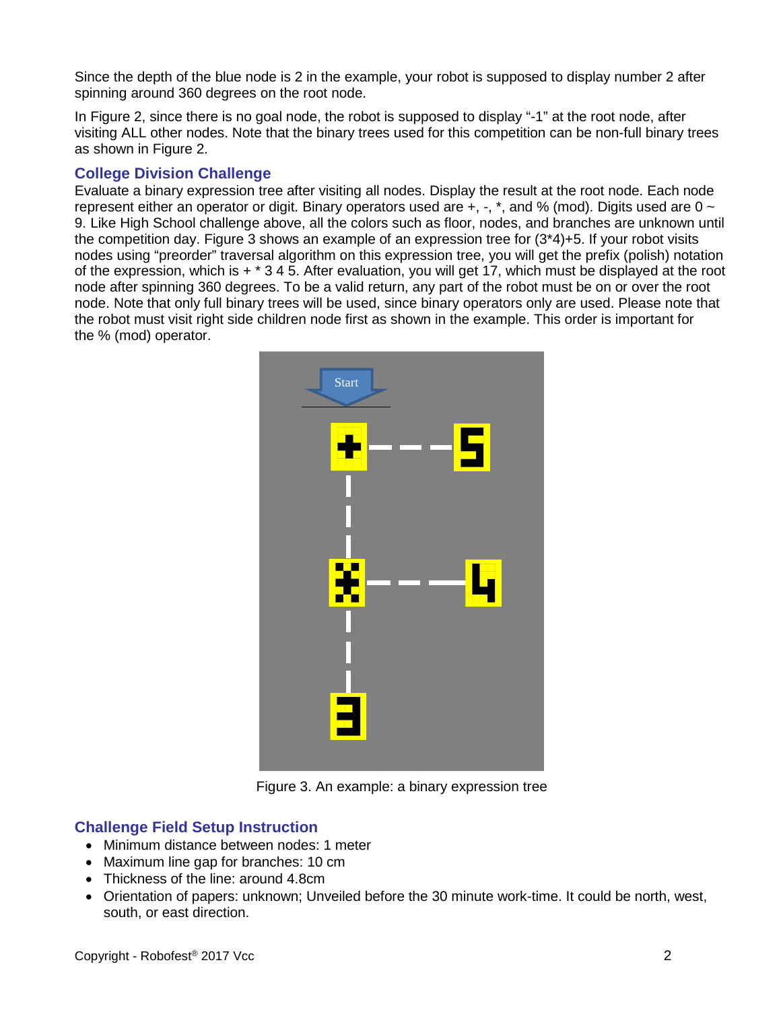Since the depth of the blue node is 2 in the example, your robot is supposed to display number 2 after spinning around 360 degrees on the root node.

In Figure 2, since there is no goal node, the robot is supposed to display "-1" at the root node, after visiting ALL other nodes. Note that the binary trees used for this competition can be non-full binary trees as shown in Figure 2.

# **College Division Challenge**

Evaluate a binary expression tree after visiting all nodes. Display the result at the root node. Each node represent either an operator or digit. Binary operators used are  $+$ ,  $-$ ,  $*$ , and % (mod). Digits used are 0  $\sim$ 9. Like High School challenge above, all the colors such as floor, nodes, and branches are unknown until the competition day. Figure 3 shows an example of an expression tree for (3\*4)+5. If your robot visits nodes using "preorder" traversal algorithm on this expression tree, you will get the prefix (polish) notation of the expression, which is + \* 3 4 5. After evaluation, you will get 17, which must be displayed at the root node after spinning 360 degrees. To be a valid return, any part of the robot must be on or over the root node. Note that only full binary trees will be used, since binary operators only are used. Please note that the robot must visit right side children node first as shown in the example. This order is important for the % (mod) operator.



Figure 3. An example: a binary expression tree

### **Challenge Field Setup Instruction**

- Minimum distance between nodes: 1 meter
- Maximum line gap for branches: 10 cm
- Thickness of the line: around 4.8cm
- Orientation of papers: unknown; Unveiled before the 30 minute work-time. It could be north, west, south, or east direction.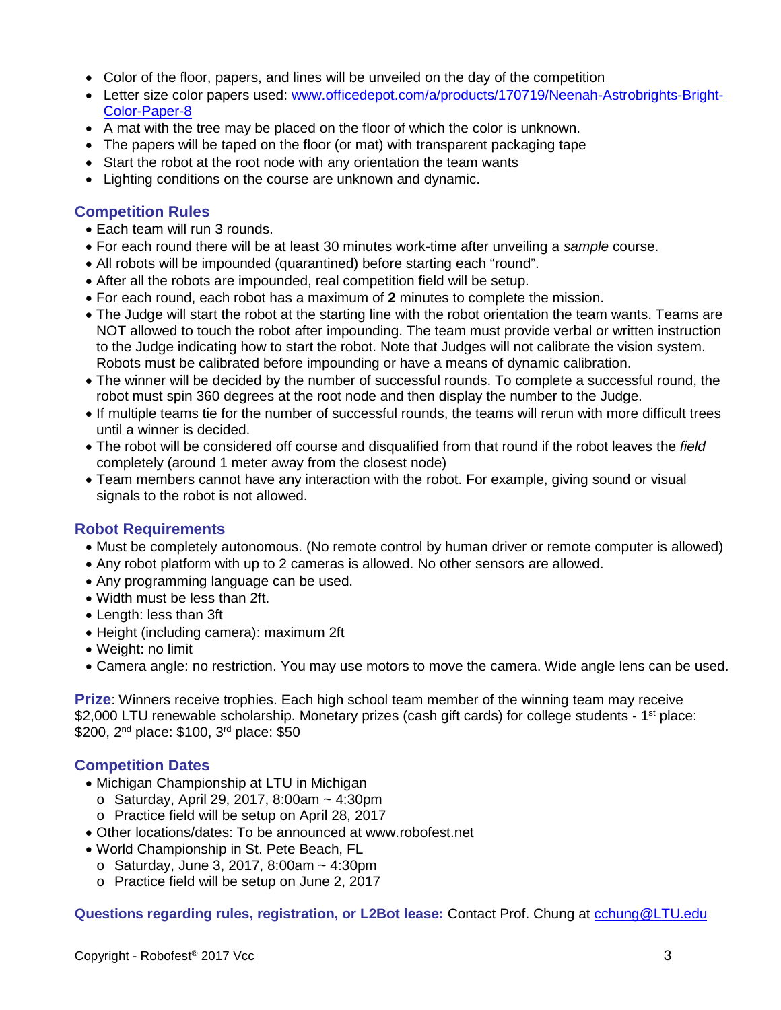- Color of the floor, papers, and lines will be unveiled on the day of the competition
- Letter size color papers used: [www.officedepot.com/a/products/170719/Neenah-Astrobrights-Bright-](http://www.officedepot.com/a/products/170719/Neenah-Astrobrights-Bright-Color-Paper-8)[Color-Paper-8](http://www.officedepot.com/a/products/170719/Neenah-Astrobrights-Bright-Color-Paper-8)
- A mat with the tree may be placed on the floor of which the color is unknown.
- The papers will be taped on the floor (or mat) with transparent packaging tape
- Start the robot at the root node with any orientation the team wants
- Lighting conditions on the course are unknown and dynamic.

#### **Competition Rules**

- Each team will run 3 rounds.
- For each round there will be at least 30 minutes work-time after unveiling a *sample* course.
- All robots will be impounded (quarantined) before starting each "round".
- After all the robots are impounded, real competition field will be setup.
- For each round, each robot has a maximum of **2** minutes to complete the mission.
- The Judge will start the robot at the starting line with the robot orientation the team wants. Teams are NOT allowed to touch the robot after impounding. The team must provide verbal or written instruction to the Judge indicating how to start the robot. Note that Judges will not calibrate the vision system. Robots must be calibrated before impounding or have a means of dynamic calibration.
- The winner will be decided by the number of successful rounds. To complete a successful round, the robot must spin 360 degrees at the root node and then display the number to the Judge.
- If multiple teams tie for the number of successful rounds, the teams will rerun with more difficult trees until a winner is decided.
- The robot will be considered off course and disqualified from that round if the robot leaves the *field* completely (around 1 meter away from the closest node)
- Team members cannot have any interaction with the robot. For example, giving sound or visual signals to the robot is not allowed.

### **Robot Requirements**

- Must be completely autonomous. (No remote control by human driver or remote computer is allowed)
- Any robot platform with up to 2 cameras is allowed. No other sensors are allowed.
- Any programming language can be used.
- Width must be less than 2ft.
- Length: less than 3ft
- Height (including camera): maximum 2ft
- Weight: no limit
- Camera angle: no restriction. You may use motors to move the camera. Wide angle lens can be used.

**Prize**: Winners receive trophies. Each high school team member of the winning team may receive \$2,000 LTU renewable scholarship. Monetary prizes (cash gift cards) for college students - 1<sup>st</sup> place: \$200, 2<sup>nd</sup> place: \$100, 3<sup>rd</sup> place: \$50

### **Competition Dates**

- Michigan Championship at LTU in Michigan
	- $\circ$  Saturday, April 29, 2017, 8:00am  $\sim$  4:30pm
	- o Practice field will be setup on April 28, 2017
- Other locations/dates: To be announced at www.robofest.net
- World Championship in St. Pete Beach, FL
	- $\circ$  Saturday, June 3, 2017, 8:00am  $\sim$  4:30pm
	- o Practice field will be setup on June 2, 2017

**Questions regarding rules, registration, or L2Bot lease:** Contact Prof. Chung at [cchung@LTU.edu](mailto:cchung@LTU.edu)